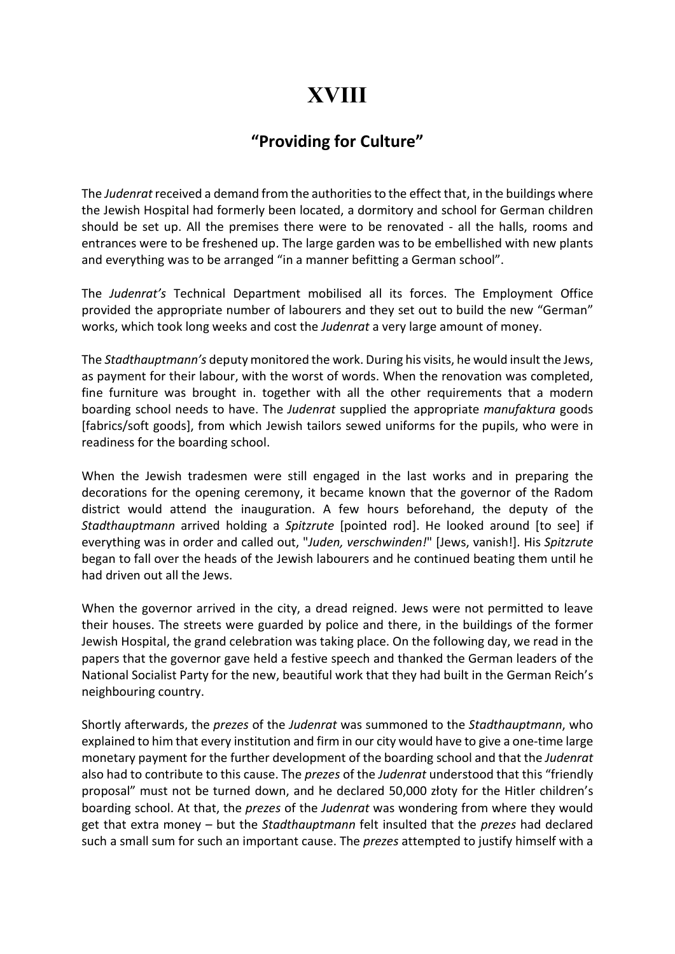## XVIII

## "Providing for Culture"

The Judenrat received a demand from the authorities to the effect that, in the buildings where the Jewish Hospital had formerly been located, a dormitory and school for German children should be set up. All the premises there were to be renovated - all the halls, rooms and entrances were to be freshened up. The large garden was to be embellished with new plants and everything was to be arranged "in a manner befitting a German school".

The Judenrat's Technical Department mobilised all its forces. The Employment Office provided the appropriate number of labourers and they set out to build the new "German" works, which took long weeks and cost the Judenrat a very large amount of money.

The Stadthauptmann's deputy monitored the work. During his visits, he would insult the Jews, as payment for their labour, with the worst of words. When the renovation was completed, fine furniture was brought in. together with all the other requirements that a modern boarding school needs to have. The Judenrat supplied the appropriate manufaktura goods [fabrics/soft goods], from which Jewish tailors sewed uniforms for the pupils, who were in readiness for the boarding school.

When the Jewish tradesmen were still engaged in the last works and in preparing the decorations for the opening ceremony, it became known that the governor of the Radom district would attend the inauguration. A few hours beforehand, the deputy of the Stadthauptmann arrived holding a Spitzrute [pointed rod]. He looked around [to see] if everything was in order and called out, "Juden, verschwinden!" [Jews, vanish!]. His Spitzrute began to fall over the heads of the Jewish labourers and he continued beating them until he had driven out all the Jews.

When the governor arrived in the city, a dread reigned. Jews were not permitted to leave their houses. The streets were guarded by police and there, in the buildings of the former Jewish Hospital, the grand celebration was taking place. On the following day, we read in the papers that the governor gave held a festive speech and thanked the German leaders of the National Socialist Party for the new, beautiful work that they had built in the German Reich's neighbouring country.

Shortly afterwards, the *prezes* of the Judenrat was summoned to the Stadthauptmann, who explained to him that every institution and firm in our city would have to give a one-time large monetary payment for the further development of the boarding school and that the Judenrat also had to contribute to this cause. The *prezes* of the *Judenrat* understood that this "friendly proposal" must not be turned down, and he declared 50,000 złoty for the Hitler children's boarding school. At that, the *prezes* of the Judenrat was wondering from where they would get that extra money – but the *Stadthauptmann* felt insulted that the *prezes* had declared such a small sum for such an important cause. The prezes attempted to justify himself with a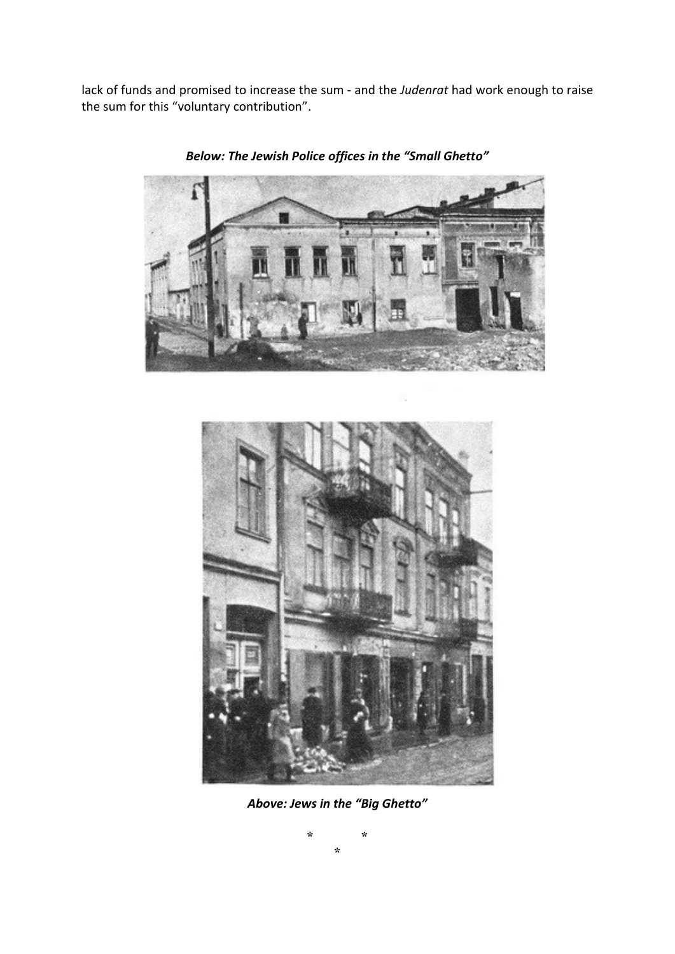lack of funds and promised to increase the sum - and the Judenrat had work enough to raise the sum for this "voluntary contribution".



Below: The Jewish Police offices in the "Small Ghetto"



Above: Jews in the "Big Ghetto"

\* \* \*